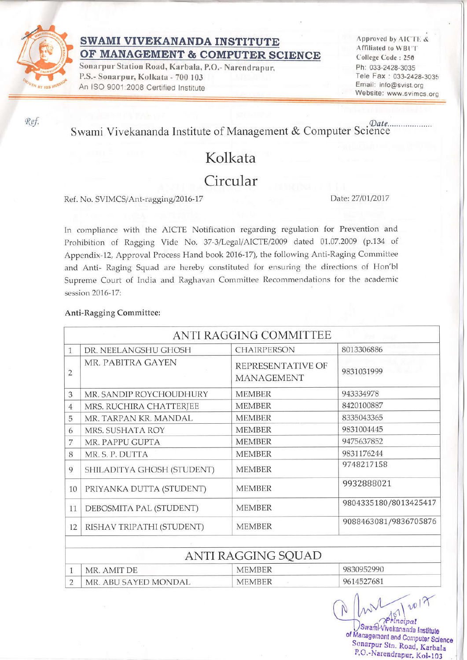

### SWAMI VIVEKANANDA INSTITUTE OF MANAGEMENT & COMPUTER SCIENCE

Sonarpur Station Road, Karbala, P.O.- Narendrapur, P.S.- Sonarpur, Kolkata - 700 103 An ISO 9001:2008 Certified Institute

Approved by AICTE & Affiliated to WBUT College Code: 250 Ph: 033-2428-3035 Tele Fax: 033-2428-3035 Email: info@svist.org Website: www.svimcs.org

#### Date... Swami Vivekananda Institute of Management & Computer Science

# Kolkata

### Circular

#### Ref. No. SVIMCS/Ant-ragging/2016-17

Date: 27/01/2017

In compliance with the AICTE Notification regarding regulation for Prevention and Prohibition of Ragging Vide No. 37-3/Legal/AICTE/2009 dated 01.07.2009 (p.134 of Appendix-12, Approval Process Hand book 2016-17), the following Anti-Raging Committee and Anti- Raging Squad are hereby constituted for ensuring the directions of Hon'bl Supreme Court of India and Raghavan Committee Recommendations for the academic session 2016-17:

### Anti-Ragging Committee:

|                |                            | ANTI RAGGING COMMITTEE                 |                       |
|----------------|----------------------------|----------------------------------------|-----------------------|
| 1              | DR. NEELANGSHU GHOSH       | <b>CHAIRPERSON</b>                     | 8013306886            |
| $\overline{2}$ | MR. PABITRA GAYEN          | REPRESENTATIVE OF<br><b>MANAGEMENT</b> | 9831031999            |
| 3              | MR. SANDIP ROYCHOUDHURY    | <b>MEMBER</b>                          | 943334978             |
| 4              | MRS. RUCHIRA CHATTERJEE    | <b>MEMBER</b>                          | 8420100887            |
| 5              | MR. TARPAN KR. MANDAL      | <b>MEMBER</b>                          | 8335043365            |
| 6              | MRS. SUSHATA ROY           | <b>MEMBER</b>                          | 9831004445            |
| 7              | MR. PAPPU GUPTA            | <b>MEMBER</b>                          | 9475637852            |
| 8              | MR. S. P. DUTTA            | <b>MEMBER</b>                          | 9831176244            |
| 9              | SHILADITYA GHOSH (STUDENT) | <b>MEMBER</b>                          | 9748217158            |
| 10             | PRIYANKA DUTTA (STUDENT)   | <b>MEMBER</b>                          | 9932888021            |
| 11             | DEBOSMITA PAL (STUDENT)    | <b>MEMBER</b>                          | 9804335180/8013425417 |
| 12             | RISHAV TRIPATHI (STUDENT)  | <b>MEMBER</b>                          | 9088463081/9836705876 |
|                |                            |                                        |                       |
|                |                            | ANTI RAGGING SQUAD                     |                       |
| 1              | MR. AMIT DE                | <b>MEMBER</b>                          | 9830952990            |
| $\mathcal{D}$  | MR ABU SAYED MONDAL        | <b>MEMBER</b>                          | 9614527681            |

 $12018$  $\mathbb{A}_{\text{incipal}}^{\text{on}}$ Swam Vivekananda Institute of Management and Computer Science Sonarpur Stn. Road, Karbala P.O.-Narendrapur, Kol-103

Ref.